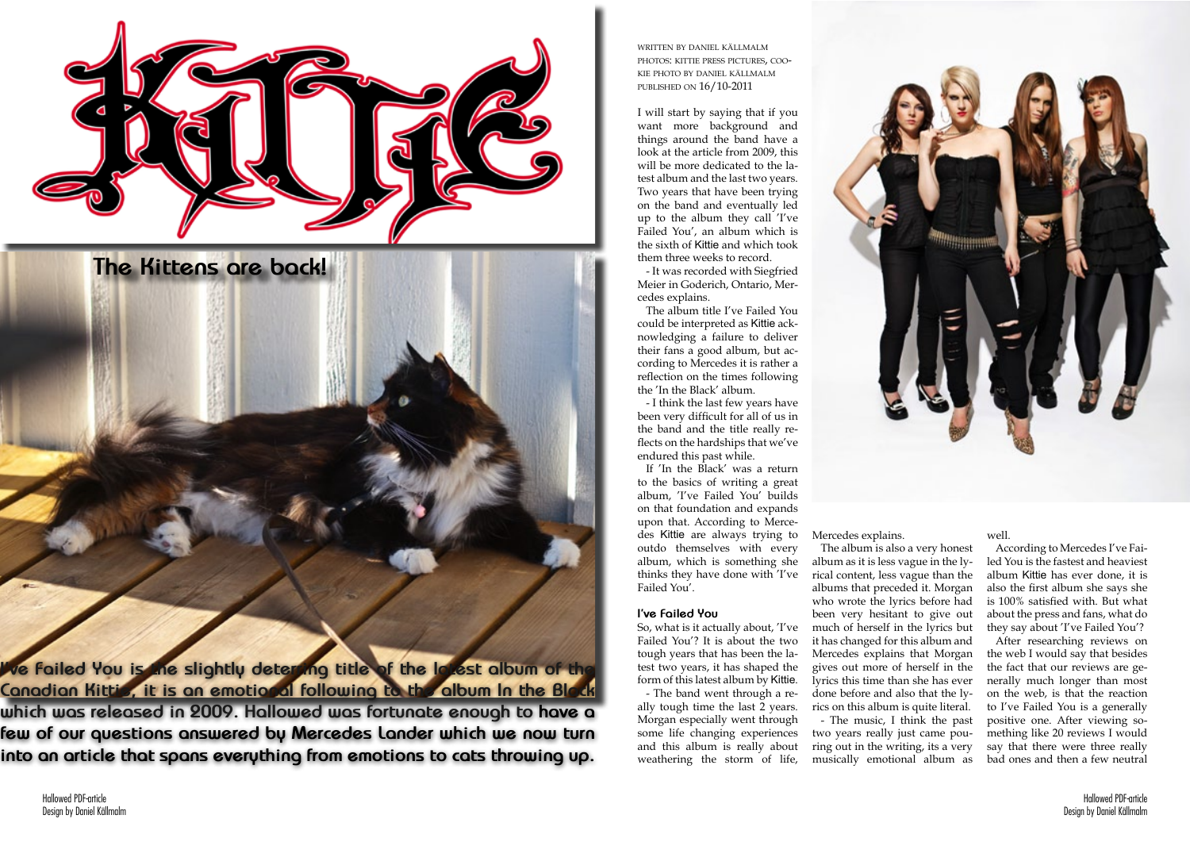Hallowed PDF-article Design by Daniel Källmalm



written by daniel källmalm photos: kittie press pictures, cookie photo by daniel källmalm published on 16/10-2011

I will start by saying that if you want more background and things around the band have a look at the article from 2009, this will be more dedicated to the latest album and the last two years. Two years that have been trying on the band and eventually led up to the album they call 'I've Failed You', an album which is the sixth of Kittie and which took them three weeks to record.

- It was recorded with Siegfried Meier in Goderich, Ontario, Mercedes explains.

The album title I've Failed You could be interpreted as Kittie acknowledging a failure to deliver their fans a good album, but according to Mercedes it is rather a reflection on the times following the 'In the Black' album.

- I think the last few years have been very difficult for all of us in the band and the title really reflects on the hardships that we've endured this past while.

If 'In the Black' was a return to the basics of writing a great album, 'I've Failed You' builds on that foundation and expands upon that. According to Mercedes Kittie are always trying to outdo themselves with every album, which is something she thinks they have done with 'I've Failed You'.

## **I've Failed You**

So, what is it actually about, 'I've Failed You'? It is about the two tough years that has been the latest two years, it has shaped the form of this latest album by Kittie.

- The band went through a really tough time the last 2 years. Morgan especially went through some life changing experiences and this album is really about weathering the storm of life,

Mercedes explains.

The album is also a very honest album as it is less vague in the lyrical content, less vague than the albums that preceded it. Morgan who wrote the lyrics before had been very hesitant to give out much of herself in the lyrics but it has changed for this album and Mercedes explains that Morgan gives out more of herself in the lyrics this time than she has ever done before and also that the lyrics on this album is quite literal. - The music, I think the past two years really just came pouring out in the writing, its a very

musically emotional album as



## well.

According to Mercedes I've Failed You is the fastest and heaviest album Kittie has ever done, it is also the first album she says she is 100% satisfied with. But what about the press and fans, what do they say about 'I've Failed You'?

After researching reviews on the web I would say that besides the fact that our reviews are generally much longer than most on the web, is that the reaction to I've Failed You is a generally positive one. After viewing something like 20 reviews I would say that there were three really bad ones and then a few neutral